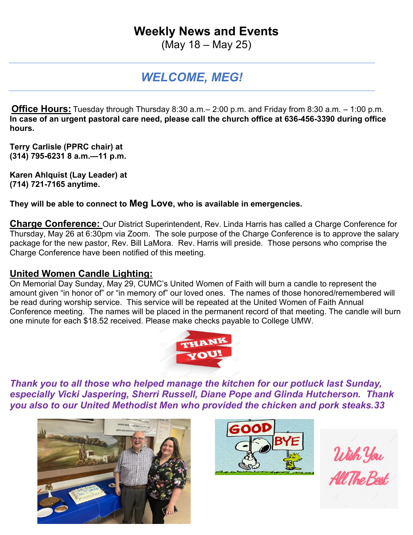# **Weekly News and Events**

(May 18 – May 25)

## *WELCOME, MEG!*

**Office Hours:** Tuesday through Thursday 8:30 a.m.– 2:00 p.m. and Friday from 8:30 a.m. – 1:00 p.m. **In case of an urgent pastoral care need, please call the church office at 636-456-3390 during office hours.**

**Terry Carlisle (PPRC chair) at (314) 795-6231 8 a.m.—11 p.m.**

**Karen Ahlquist (Lay Leader) at (714) 721-7165 anytime.**

**They will be able to connect to Meg Love, who is available in emergencies.**

**Charge Conference:** Our District Superintendent, Rev. Linda Harris has called a Charge Conference for Thursday, May 26 at 6:30pm via Zoom. The sole purpose of the Charge Conference is to approve the salary package for the new pastor, Rev. Bill LaMora. Rev. Harris will preside. Those persons who comprise the Charge Conference have been notified of this meeting.

## **United Women Candle Lighting:**

On Memorial Day Sunday, May 29, CUMC's United Women of Faith will burn a candle to represent the amount given "in honor of" or "in memory of" our loved ones. The names of those honored/remembered will be read during worship service. This service will be repeated at the United Women of Faith Annual Conference meeting. The names will be placed in the permanent record of that meeting. The candle will burn one minute for each \$18.52 received. Please make checks payable to College UMW.



*Thank you to all those who helped manage the kitchen for our potluck last Sunday, especially Vicki Jaspering, Sherri Russell, Diane Pope and Glinda Hutcherson. Thank you also to our United Methodist Men who provided the chicken and pork steaks.33*





Wish You<br>All The Best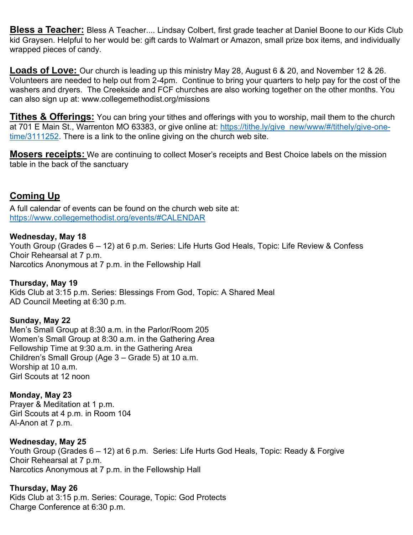**Bless a Teacher:** Bless A Teacher.... Lindsay Colbert, first grade teacher at Daniel Boone to our Kids Club kid Graysen. Helpful to her would be: gift cards to Walmart or Amazon, small prize box items, and individually wrapped pieces of candy.

**Loads of Love:** Our church is leading up this ministry May 28, August 6 & 20, and November 12 & 26. Volunteers are needed to help out from 2-4pm. Continue to bring your quarters to help pay for the cost of the washers and dryers. The Creekside and FCF churches are also working together on the other months. You can also sign up at: www.collegemethodist.org/missions

**Tithes & Offerings:** You can bring your tithes and offerings with you to worship, mail them to the church at 701 E Main St., Warrenton MO 63383, or give online at: [https://tithe.ly/give\\_new/www/#/tithely/give-one](https://tithe.ly/give_new/www/#/tithely/give-one-time/3111252)[time/3111252.](https://tithe.ly/give_new/www/#/tithely/give-one-time/3111252) There is a link to the online giving on the church web site.

**Mosers receipts:** We are continuing to collect Moser's receipts and Best Choice labels on the mission table in the back of the sanctuary

## **Coming Up**

A full calendar of events can be found on the church web site at: <https://www.collegemethodist.org/events/#CALENDAR>

### **Wednesday, May 18**

Youth Group (Grades 6 – 12) at 6 p.m. Series: Life Hurts God Heals, Topic: Life Review & Confess Choir Rehearsal at 7 p.m. Narcotics Anonymous at 7 p.m. in the Fellowship Hall

**Thursday, May 19** Kids Club at 3:15 p.m. Series: Blessings From God, Topic: A Shared Meal AD Council Meeting at 6:30 p.m.

**Sunday, May 22** Men's Small Group at 8:30 a.m. in the Parlor/Room 205 Women's Small Group at 8:30 a.m. in the Gathering Area Fellowship Time at 9:30 a.m. in the Gathering Area Children's Small Group (Age 3 – Grade 5) at 10 a.m. Worship at 10 a.m. Girl Scouts at 12 noon

## **Monday, May 23**

Prayer & Meditation at 1 p.m. Girl Scouts at 4 p.m. in Room 104 Al-Anon at 7 p.m.

#### **Wednesday, May 25**

Youth Group (Grades 6 – 12) at 6 p.m. Series: Life Hurts God Heals, Topic: Ready & Forgive Choir Rehearsal at 7 p.m. Narcotics Anonymous at 7 p.m. in the Fellowship Hall

**Thursday, May 26**

Kids Club at 3:15 p.m. Series: Courage, Topic: God Protects Charge Conference at 6:30 p.m.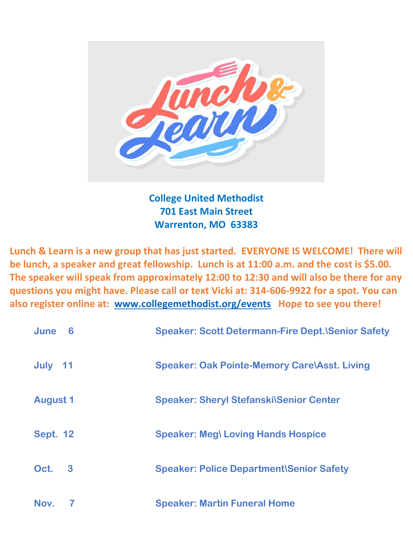

**College United Methodist 701 East Main Street Warrenton, MO 63383**

**Lunch & Learn is a new group that has just started. EVERYONE IS WELCOME! There will be lunch, a speaker and great fellowship. Lunch is at 11:00 a.m. and the cost is \$5.00. The speaker will speak from approximately 12:00 to 12:30 and will also be there for any questions you might have. Please call or text Vicki at: 314-606-9922 for a spot. You can also register online at: [www.collegemethodist.org/events](http://www.collegemethodist.org/events) Hope to see you there!**

| June<br>6       | <b>Speaker: Scott Determann-Fire Dept. \Senior Safety</b> |
|-----------------|-----------------------------------------------------------|
| July 11         | <b>Speaker: Oak Pointe-Memory Care\Asst. Living</b>       |
| <b>August 1</b> | <b>Speaker: Sheryl Stefanski\Senior Center</b>            |
| <b>Sept. 12</b> | <b>Speaker: Meg\ Loving Hands Hospice</b>                 |
| Oct.<br>3       | <b>Speaker: Police Department\Senior Safety</b>           |
| Nov.            | <b>Speaker: Martin Funeral Home</b>                       |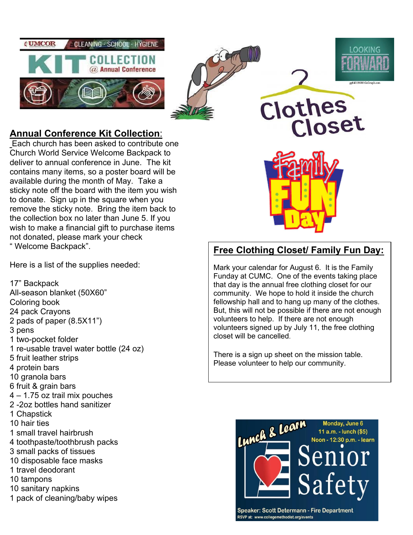





## **Annual Conference Kit Collection**:

Each church has been asked to contribute one Church World Service Welcome Backpack to deliver to annual conference in June. The kit contains many items, so a poster board will be available during the month of May. Take a sticky note off the board with the item you wish to donate. Sign up in the square when you remove the sticky note. Bring the item back to the collection box no later than June 5. If you wish to make a financial gift to purchase items not donated, please mark your check " Welcome Backpack".

Here is a list of the supplies needed:

17" Backpack All-season blanket (50X60" Coloring book 24 pack Crayons 2 pads of paper (8.5X11") 3 pens 1 two-pocket folder 1 re-usable travel water bottle (24 oz) 5 fruit leather strips 4 protein bars 10 granola bars 6 fruit & grain bars 4 – 1.75 oz trail mix pouches 2 -2oz bottles hand sanitizer 1 Chapstick 10 hair ties 1 small travel hairbrush 4 toothpaste/toothbrush packs 3 small packs of tissues 10 disposable face masks 1 travel deodorant 10 tampons 10 sanitary napkins 1 pack of cleaning/baby wipes



Clothes

Closet

## **Free Clothing Closet/ Family Fun Day:**

Mark your calendar for August 6. It is the Family Funday at CUMC. One of the events taking place that day is the annual free clothing closet for our community. We hope to hold it inside the church fellowship hall and to hang up many of the clothes. But, this will not be possible if there are not enough volunteers to help. If there are not enough volunteers signed up by July 11, the free clothing closet will be cancelled.

There is a sign up sheet on the mission table. Please volunteer to help our community.



**Speaker: Scott Determann - Fire Department** RSVP at: www.collegemethodist.org/events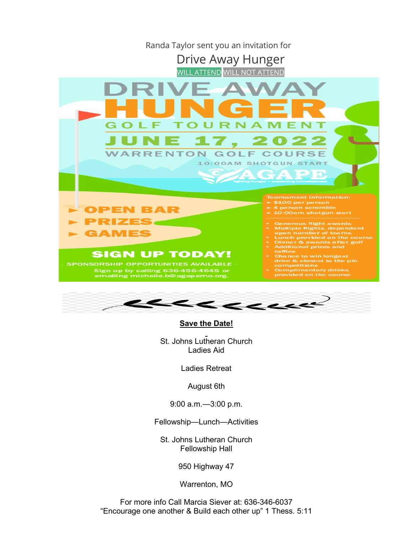



#### **Save the Date!**

St. Johns Lutheran Church Ladies Aid

Ladies Retreat

August 6th

9:00 a.m.—3:00 p.m.

Fellowship—Lunch—Activities

St. Johns Lutheran Church Fellowship Hall

950 Highway 47

Warrenton, MO

For more info Call Marcia Siever at: 636-346-6037 "Encourage one another & Build each other up" 1 Thess. 5:11